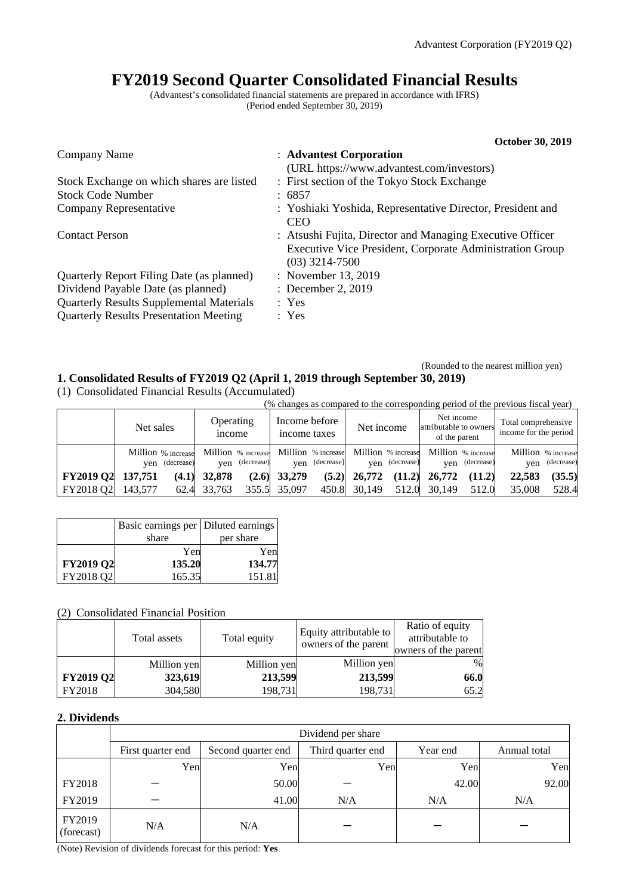**October 30, 2019** 

# **FY2019 Second Quarter Consolidated Financial Results**

(Advantest's consolidated financial statements are prepared in accordance with IFRS) (Period ended September 30, 2019)

|                                                 | OCTODET 30, 2019                                                                                                                          |
|-------------------------------------------------|-------------------------------------------------------------------------------------------------------------------------------------------|
| Company Name                                    | : Advantest Corporation<br>(URL https://www.advantest.com/investors)                                                                      |
| Stock Exchange on which shares are listed       | : First section of the Tokyo Stock Exchange                                                                                               |
| <b>Stock Code Number</b>                        | : 6857                                                                                                                                    |
| Company Representative                          | : Yoshiaki Yoshida, Representative Director, President and<br><b>CEO</b>                                                                  |
| <b>Contact Person</b>                           | : Atsushi Fujita, Director and Managing Executive Officer<br>Executive Vice President, Corporate Administration Group<br>$(03)$ 3214-7500 |
| Quarterly Report Filing Date (as planned)       | : November 13, 2019                                                                                                                       |
| Dividend Payable Date (as planned)              | : December 2, 2019                                                                                                                        |
| <b>Quarterly Results Supplemental Materials</b> | : Yes                                                                                                                                     |
| <b>Quarterly Results Presentation Meeting</b>   | : Yes                                                                                                                                     |

#### (Rounded to the nearest million yen) **1. Consolidated Results of FY2019 Q2 (April 1, 2019 through September 30, 2019)**

(1) Consolidated Financial Results (Accumulated)

(% changes as compared to the corresponding period of the previous fiscal year)

|                   | Net sales |                | Operating<br><i>n</i> come |                | Income before<br>income taxes |                | Net income     |                | Net income<br>attributable to owners<br>of the parent                                          |                | Total comprehensive<br>income for the period |                                  |
|-------------------|-----------|----------------|----------------------------|----------------|-------------------------------|----------------|----------------|----------------|------------------------------------------------------------------------------------------------|----------------|----------------------------------------------|----------------------------------|
|                   |           | ven (decrease) |                            | yen (decrease) |                               | ven (decrease) |                | ven (decrease) | Million % increase Million % increase Million % increase Million % increase Million % increase | yen (decrease) | ven                                          | Million % increase<br>(decrease) |
| FY2019 Q2 137,751 |           |                | $(4.1)$ 32,878             |                | $(2.6)$ 33,279                |                | $(5.2)$ 26,772 |                | $(11.2)$ 26,772                                                                                | (11.2)         | 22.583                                       | (35.5)                           |
| FY2018 Q2         | 143,577   |                | 62.4 33.763                |                | 355.5 35,097                  |                | 450.8 30.149   | 512.0          | 30.149                                                                                         | 512.0          | 35,008                                       | 528.4                            |

|                  | Basic earnings per Diluted earnings |           |
|------------------|-------------------------------------|-----------|
|                  | share                               | per share |
|                  | Yen                                 | Yenl      |
| <b>FY2019 Q2</b> | 135.20                              | 134.77    |
| FY2018 Q2        | 165.35                              | 151.81    |

### (2) Consolidated Financial Position

|                  | Total assets | Total equity | Equity attributable to<br>owners of the parent | Ratio of equity<br>attributable to<br>owners of the parent |
|------------------|--------------|--------------|------------------------------------------------|------------------------------------------------------------|
|                  | Million yen  | Million yen  | Million yen                                    | $\%$                                                       |
| <b>FY2019 Q2</b> | 323,619      | 213,599      | 213,599                                        | 66.0                                                       |
| FY2018           | 304,580      | 198,731      | 198,731                                        | 65.2                                                       |

### **2. Dividends**

|                      | Dividend per share |                    |                   |          |              |  |  |
|----------------------|--------------------|--------------------|-------------------|----------|--------------|--|--|
|                      | First quarter end  | Second quarter end | Third quarter end | Year end | Annual total |  |  |
|                      | Yen                | Yen                | Yen               | Yen      | Yen          |  |  |
| FY2018               |                    | 50.00              |                   | 42.00    | 92.00        |  |  |
| FY2019               |                    | 41.00              | N/A               | N/A      | N/A          |  |  |
| FY2019<br>(forecast) | N/A                | N/A                |                   |          |              |  |  |

(Note) Revision of dividends forecast for this period: **Yes**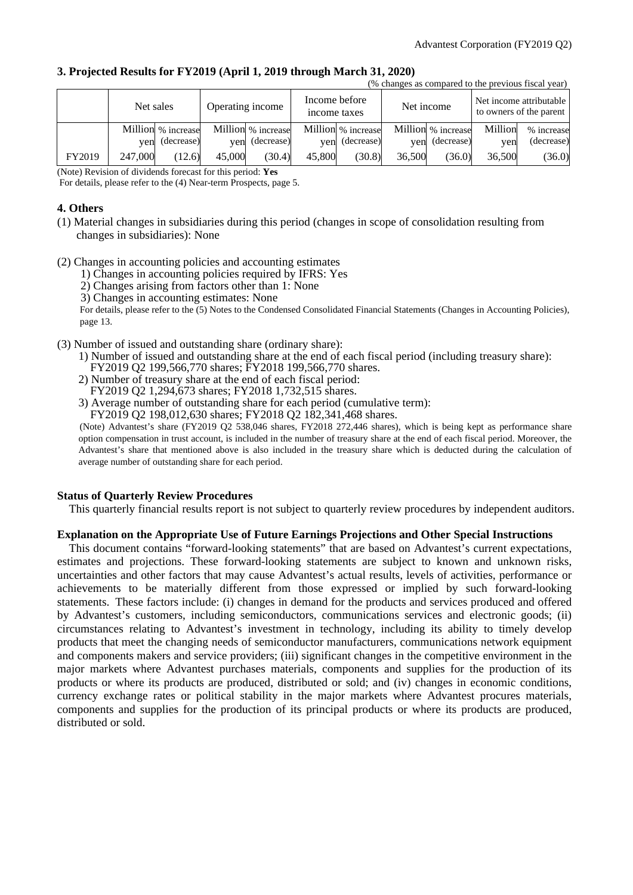| 3. Projected Results for FY2019 (April 1, 2019 through March 31, 2020) |                                                      |
|------------------------------------------------------------------------|------------------------------------------------------|
|                                                                        | (0) okonose se somnoved to the previous fissel user) |

|        |           |                    |        |                    |                               |                    |        |                    |         | $\sigma$ changes as compared to the previous risear year) |
|--------|-----------|--------------------|--------|--------------------|-------------------------------|--------------------|--------|--------------------|---------|-----------------------------------------------------------|
|        | Net sales |                    |        | Operating income   | Income before<br>income taxes |                    |        | Net income         |         | Net income attributable<br>to owners of the parent        |
|        |           | Million % increase |        | Million % increase |                               | Million % increase |        | Million % increase | Million | % increase                                                |
|        |           | yen (decrease)     | ven    | (decrease)         | ven                           | (decrease)         | ven    | (decrease)         | ven     | (decrease)                                                |
| FY2019 | 247,000   | (12.6)             | 45,000 | (30.4)             | 45,800                        | (30.8)             | 36,500 | (36.0)             | 36,500  | (36.0)                                                    |

(Note) Revision of dividends forecast for this period: **Yes** 

For details, please refer to the (4) Near-term Prospects, page 5.

#### **4. Others**

- (1) Material changes in subsidiaries during this period (changes in scope of consolidation resulting from changes in subsidiaries): None
- (2) Changes in accounting policies and accounting estimates
	- 1) Changes in accounting policies required by IFRS: Yes
	- 2) Changes arising from factors other than 1: None
	- 3) Changes in accounting estimates: None

For details, please refer to the (5) Notes to the Condensed Consolidated Financial Statements (Changes in Accounting Policies), page 13.

- (3) Number of issued and outstanding share (ordinary share):
	- 1) Number of issued and outstanding share at the end of each fiscal period (including treasury share): FY2019 Q2 199,566,770 shares; FY2018 199,566,770 shares.
	- 2) Number of treasury share at the end of each fiscal period: FY2019 Q2 1,294,673 shares; FY2018 1,732,515 shares.
	- 3) Average number of outstanding share for each period (cumulative term):

FY2019 Q2 198,012,630 shares; FY2018 Q2 182,341,468 shares.

(Note) Advantest's share (FY2019 Q2 538,046 shares, FY2018 272,446 shares), which is being kept as performance share option compensation in trust account, is included in the number of treasury share at the end of each fiscal period. Moreover, the Advantest's share that mentioned above is also included in the treasury share which is deducted during the calculation of average number of outstanding share for each period.

### **Status of Quarterly Review Procedures**

This quarterly financial results report is not subject to quarterly review procedures by independent auditors.

#### **Explanation on the Appropriate Use of Future Earnings Projections and Other Special Instructions**

This document contains "forward-looking statements" that are based on Advantest's current expectations, estimates and projections. These forward-looking statements are subject to known and unknown risks, uncertainties and other factors that may cause Advantest's actual results, levels of activities, performance or achievements to be materially different from those expressed or implied by such forward-looking statements. These factors include: (i) changes in demand for the products and services produced and offered by Advantest's customers, including semiconductors, communications services and electronic goods; (ii) circumstances relating to Advantest's investment in technology, including its ability to timely develop products that meet the changing needs of semiconductor manufacturers, communications network equipment and components makers and service providers; (iii) significant changes in the competitive environment in the major markets where Advantest purchases materials, components and supplies for the production of its products or where its products are produced, distributed or sold; and (iv) changes in economic conditions, currency exchange rates or political stability in the major markets where Advantest procures materials, components and supplies for the production of its principal products or where its products are produced, distributed or sold.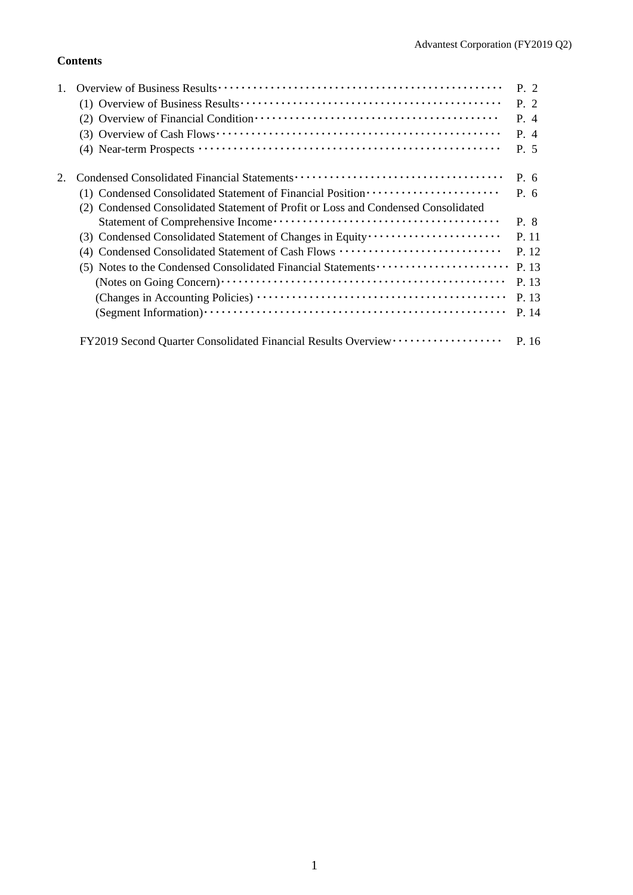### **Contents**

|                                                                                   | P. 2  |
|-----------------------------------------------------------------------------------|-------|
|                                                                                   | P. 2  |
|                                                                                   | P. 4  |
|                                                                                   | P. 4  |
|                                                                                   | P. 5  |
|                                                                                   | P. 6  |
| (1) Condensed Consolidated Statement of Financial Position ······················ | P. 6  |
| (2) Condensed Consolidated Statement of Profit or Loss and Condensed Consolidated |       |
|                                                                                   | P. 8  |
| (3) Condensed Consolidated Statement of Changes in Equity                         | P. 11 |
| (4) Condensed Consolidated Statement of Cash Flows                                | P. 12 |
| (5) Notes to the Condensed Consolidated Financial Statements                      | P. 13 |
|                                                                                   | P. 13 |
|                                                                                   | P. 13 |
|                                                                                   | P. 14 |
| FY2019 Second Quarter Consolidated Financial Results Overview ··················  | P. 16 |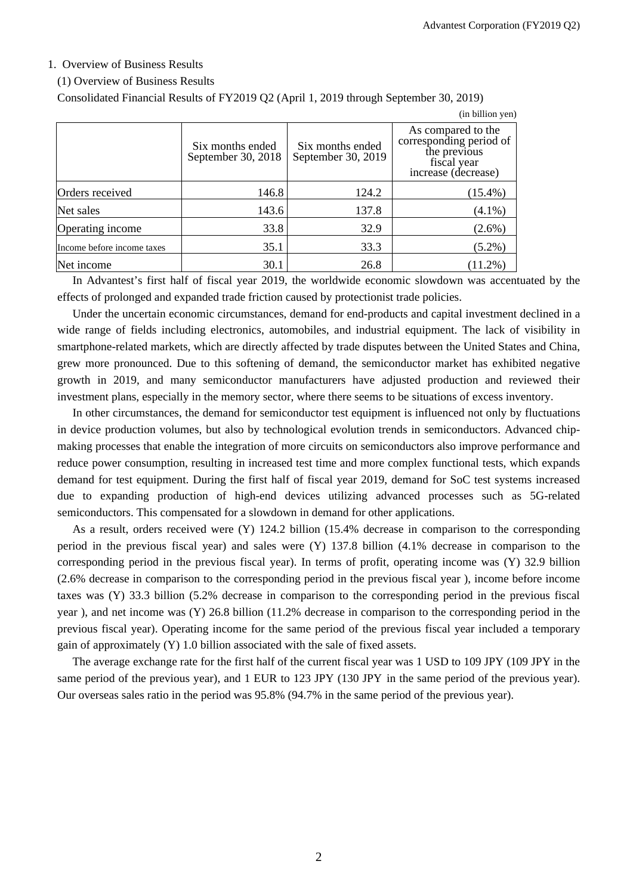$(in$  billion  $van)$ 

### 1. Overview of Business Results

#### (1) Overview of Business Results

Consolidated Financial Results of FY2019 Q2 (April 1, 2019 through September 30, 2019)

|                            |                                        |                                        | THE OTHER LIFE                                                                                      |
|----------------------------|----------------------------------------|----------------------------------------|-----------------------------------------------------------------------------------------------------|
|                            | Six months ended<br>September 30, 2018 | Six months ended<br>September 30, 2019 | As compared to the<br>corresponding period of<br>the previous<br>fiscal year<br>increase (decrease) |
| Orders received            | 146.8                                  | 124.2                                  | $(15.4\%)$                                                                                          |
| Net sales                  | 143.6                                  | 137.8                                  | $(4.1\%)$                                                                                           |
| Operating income           | 33.8                                   | 32.9                                   | $(2.6\%)$                                                                                           |
| Income before income taxes | 35.1                                   | 33.3                                   | $(5.2\%)$                                                                                           |
| Net income                 | 30.1                                   | 26.8                                   | $(11.2\%)$                                                                                          |

In Advantest's first half of fiscal year 2019, the worldwide economic slowdown was accentuated by the effects of prolonged and expanded trade friction caused by protectionist trade policies.

Under the uncertain economic circumstances, demand for end-products and capital investment declined in a wide range of fields including electronics, automobiles, and industrial equipment. The lack of visibility in smartphone-related markets, which are directly affected by trade disputes between the United States and China, grew more pronounced. Due to this softening of demand, the semiconductor market has exhibited negative growth in 2019, and many semiconductor manufacturers have adjusted production and reviewed their investment plans, especially in the memory sector, where there seems to be situations of excess inventory.

In other circumstances, the demand for semiconductor test equipment is influenced not only by fluctuations in device production volumes, but also by technological evolution trends in semiconductors. Advanced chipmaking processes that enable the integration of more circuits on semiconductors also improve performance and reduce power consumption, resulting in increased test time and more complex functional tests, which expands demand for test equipment. During the first half of fiscal year 2019, demand for SoC test systems increased due to expanding production of high-end devices utilizing advanced processes such as 5G-related semiconductors. This compensated for a slowdown in demand for other applications.

As a result, orders received were (Y) 124.2 billion (15.4% decrease in comparison to the corresponding period in the previous fiscal year) and sales were (Y) 137.8 billion (4.1% decrease in comparison to the corresponding period in the previous fiscal year). In terms of profit, operating income was (Y) 32.9 billion (2.6% decrease in comparison to the corresponding period in the previous fiscal year ), income before income taxes was (Y) 33.3 billion (5.2% decrease in comparison to the corresponding period in the previous fiscal year ), and net income was (Y) 26.8 billion (11.2% decrease in comparison to the corresponding period in the previous fiscal year). Operating income for the same period of the previous fiscal year included a temporary gain of approximately (Y) 1.0 billion associated with the sale of fixed assets.

The average exchange rate for the first half of the current fiscal year was 1 USD to 109 JPY (109 JPY in the same period of the previous year), and 1 EUR to 123 JPY (130 JPY in the same period of the previous year). Our overseas sales ratio in the period was 95.8% (94.7% in the same period of the previous year).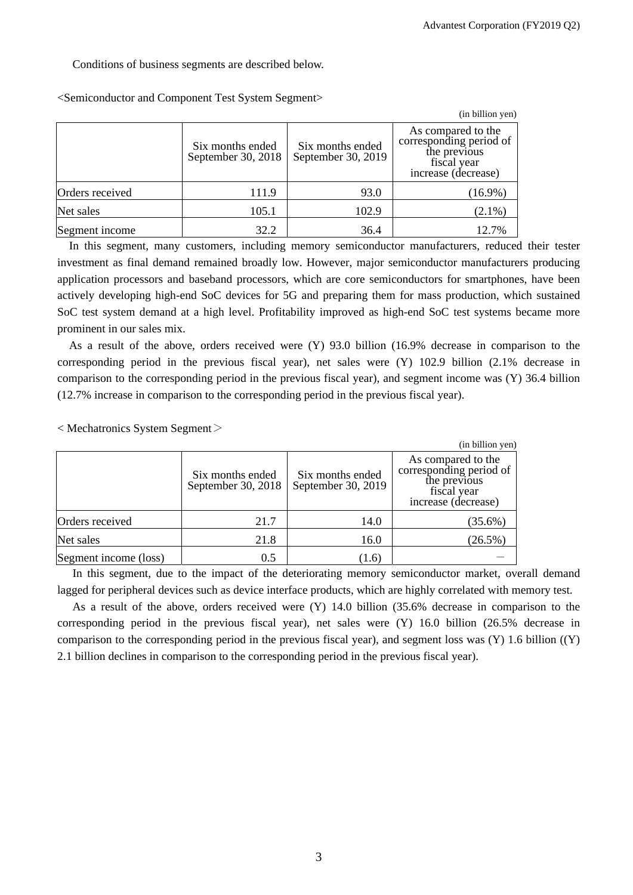Conditions of business segments are described below.

|                 |                                        |                                        | (in billion yen)                                                                                    |
|-----------------|----------------------------------------|----------------------------------------|-----------------------------------------------------------------------------------------------------|
|                 | Six months ended<br>September 30, 2018 | Six months ended<br>September 30, 2019 | As compared to the<br>corresponding period of<br>the previous<br>fiscal year<br>increase (decrease) |
| Orders received | 111.9                                  | 93.0                                   | $(16.9\%)$                                                                                          |
| Net sales       | 105.1                                  | 102.9                                  | $(2.1\%)$                                                                                           |
| Segment income  | 32.2                                   | 36.4                                   | 12.7%                                                                                               |

<Semiconductor and Component Test System Segment>

In this segment, many customers, including memory semiconductor manufacturers, reduced their tester investment as final demand remained broadly low. However, major semiconductor manufacturers producing application processors and baseband processors, which are core semiconductors for smartphones, have been actively developing high-end SoC devices for 5G and preparing them for mass production, which sustained SoC test system demand at a high level. Profitability improved as high-end SoC test systems became more prominent in our sales mix.

As a result of the above, orders received were (Y) 93.0 billion (16.9% decrease in comparison to the corresponding period in the previous fiscal year), net sales were (Y) 102.9 billion (2.1% decrease in comparison to the corresponding period in the previous fiscal year), and segment income was (Y) 36.4 billion (12.7% increase in comparison to the corresponding period in the previous fiscal year).

< Mechatronics System Segment>

|                       |                                        |                                        | (in billion yen)                                                                                    |
|-----------------------|----------------------------------------|----------------------------------------|-----------------------------------------------------------------------------------------------------|
|                       | Six months ended<br>September 30, 2018 | Six months ended<br>September 30, 2019 | As compared to the<br>corresponding period of<br>the previous<br>fiscal year<br>increase (decrease) |
| Orders received       | 21.7                                   | 14.0                                   | $(35.6\%)$                                                                                          |
| Net sales             | 21.8                                   | 16.0                                   | $(26.5\%)$                                                                                          |
| Segment income (loss) | 0.5                                    | (1.6)                                  |                                                                                                     |

In this segment, due to the impact of the deteriorating memory semiconductor market, overall demand lagged for peripheral devices such as device interface products, which are highly correlated with memory test.

As a result of the above, orders received were (Y) 14.0 billion (35.6% decrease in comparison to the corresponding period in the previous fiscal year), net sales were (Y) 16.0 billion (26.5% decrease in comparison to the corresponding period in the previous fiscal year), and segment loss was (Y) 1.6 billion ((Y) 2.1 billion declines in comparison to the corresponding period in the previous fiscal year).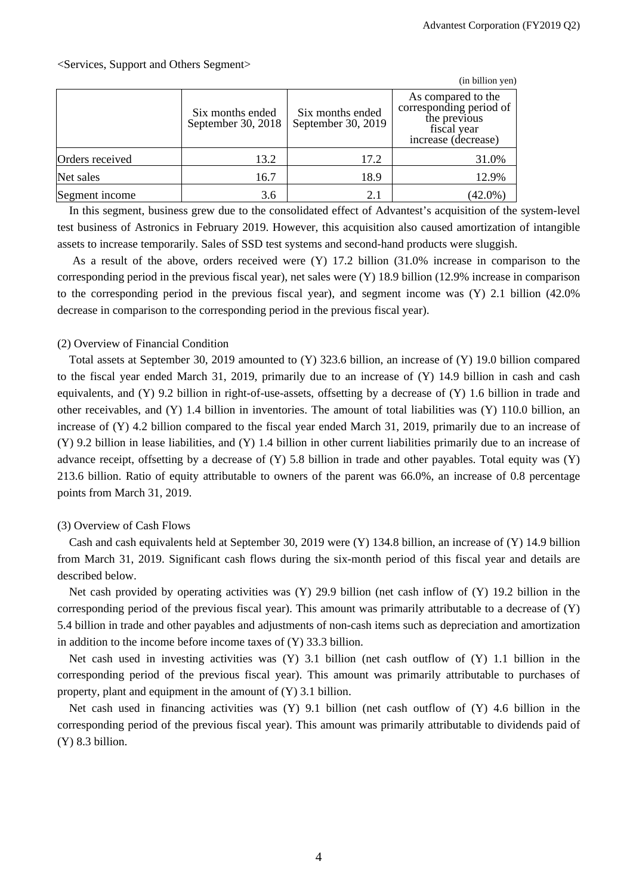### <Services, Support and Others Segment>

|                 |                                        |                                        | (in billion yen)                                                                                    |
|-----------------|----------------------------------------|----------------------------------------|-----------------------------------------------------------------------------------------------------|
|                 | Six months ended<br>September 30, 2018 | Six months ended<br>September 30, 2019 | As compared to the<br>corresponding period of<br>the previous<br>fiscal year<br>increase (decrease) |
| Orders received | 13.2                                   | 17.2                                   | 31.0%                                                                                               |
| Net sales       | 16.7                                   | 18.9                                   | 12.9%                                                                                               |
| Segment income  | 3.6                                    | 2.1                                    | $(42.0\%)$                                                                                          |

In this segment, business grew due to the consolidated effect of Advantest's acquisition of the system-level test business of Astronics in February 2019. However, this acquisition also caused amortization of intangible assets to increase temporarily. Sales of SSD test systems and second-hand products were sluggish.

As a result of the above, orders received were (Y) 17.2 billion (31.0% increase in comparison to the corresponding period in the previous fiscal year), net sales were (Y) 18.9 billion (12.9% increase in comparison to the corresponding period in the previous fiscal year), and segment income was (Y) 2.1 billion (42.0% decrease in comparison to the corresponding period in the previous fiscal year).

### (2) Overview of Financial Condition

Total assets at September 30, 2019 amounted to (Y) 323.6 billion, an increase of (Y) 19.0 billion compared to the fiscal year ended March 31, 2019, primarily due to an increase of (Y) 14.9 billion in cash and cash equivalents, and  $(Y)$  9.2 billion in right-of-use-assets, offsetting by a decrease of  $(Y)$  1.6 billion in trade and other receivables, and (Y) 1.4 billion in inventories. The amount of total liabilities was (Y) 110.0 billion, an increase of (Y) 4.2 billion compared to the fiscal year ended March 31, 2019, primarily due to an increase of (Y) 9.2 billion in lease liabilities, and (Y) 1.4 billion in other current liabilities primarily due to an increase of advance receipt, offsetting by a decrease of  $(Y)$  5.8 billion in trade and other payables. Total equity was  $(Y)$ 213.6 billion. Ratio of equity attributable to owners of the parent was 66.0%, an increase of 0.8 percentage points from March 31, 2019.

### (3) Overview of Cash Flows

Cash and cash equivalents held at September 30, 2019 were  $(Y)$  134.8 billion, an increase of  $(Y)$  14.9 billion from March 31, 2019. Significant cash flows during the six-month period of this fiscal year and details are described below.

Net cash provided by operating activities was (Y) 29.9 billion (net cash inflow of (Y) 19.2 billion in the corresponding period of the previous fiscal year). This amount was primarily attributable to a decrease of (Y) 5.4 billion in trade and other payables and adjustments of non-cash items such as depreciation and amortization in addition to the income before income taxes of (Y) 33.3 billion.

Net cash used in investing activities was (Y) 3.1 billion (net cash outflow of (Y) 1.1 billion in the corresponding period of the previous fiscal year). This amount was primarily attributable to purchases of property, plant and equipment in the amount of (Y) 3.1 billion.

Net cash used in financing activities was (Y) 9.1 billion (net cash outflow of (Y) 4.6 billion in the corresponding period of the previous fiscal year). This amount was primarily attributable to dividends paid of (Y) 8.3 billion.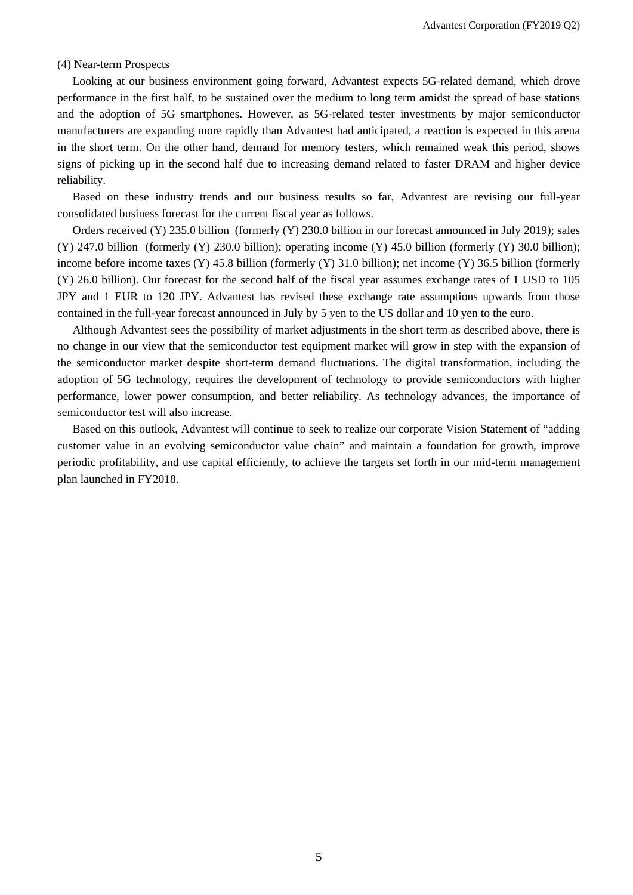#### (4) Near-term Prospects

Looking at our business environment going forward, Advantest expects 5G-related demand, which drove performance in the first half, to be sustained over the medium to long term amidst the spread of base stations and the adoption of 5G smartphones. However, as 5G-related tester investments by major semiconductor manufacturers are expanding more rapidly than Advantest had anticipated, a reaction is expected in this arena in the short term. On the other hand, demand for memory testers, which remained weak this period, shows signs of picking up in the second half due to increasing demand related to faster DRAM and higher device reliability.

Based on these industry trends and our business results so far, Advantest are revising our full-year consolidated business forecast for the current fiscal year as follows.

Orders received (Y) 235.0 billion (formerly (Y) 230.0 billion in our forecast announced in July 2019); sales (Y) 247.0 billion (formerly (Y) 230.0 billion); operating income (Y) 45.0 billion (formerly (Y) 30.0 billion); income before income taxes (Y) 45.8 billion (formerly (Y) 31.0 billion); net income (Y) 36.5 billion (formerly (Y) 26.0 billion). Our forecast for the second half of the fiscal year assumes exchange rates of 1 USD to 105 JPY and 1 EUR to 120 JPY. Advantest has revised these exchange rate assumptions upwards from those contained in the full-year forecast announced in July by 5 yen to the US dollar and 10 yen to the euro.

Although Advantest sees the possibility of market adjustments in the short term as described above, there is no change in our view that the semiconductor test equipment market will grow in step with the expansion of the semiconductor market despite short-term demand fluctuations. The digital transformation, including the adoption of 5G technology, requires the development of technology to provide semiconductors with higher performance, lower power consumption, and better reliability. As technology advances, the importance of semiconductor test will also increase.

Based on this outlook, Advantest will continue to seek to realize our corporate Vision Statement of "adding customer value in an evolving semiconductor value chain" and maintain a foundation for growth, improve periodic profitability, and use capital efficiently, to achieve the targets set forth in our mid-term management plan launched in FY2018.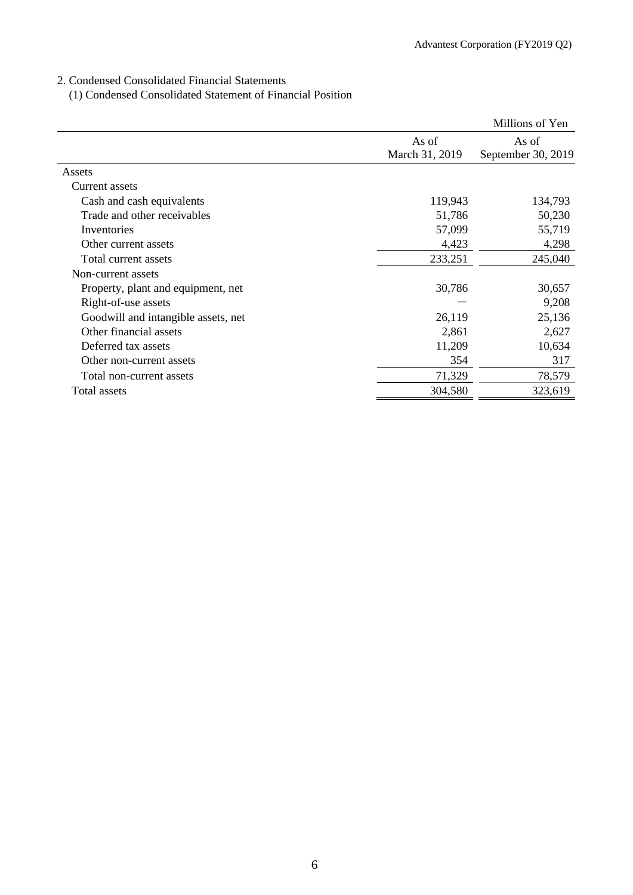2. Condensed Consolidated Financial Statements

(1) Condensed Consolidated Statement of Financial Position

|                                     |                | Millions of Yen    |
|-------------------------------------|----------------|--------------------|
|                                     | As of          | As of              |
|                                     | March 31, 2019 | September 30, 2019 |
| Assets                              |                |                    |
| Current assets                      |                |                    |
| Cash and cash equivalents           | 119,943        | 134,793            |
| Trade and other receivables         | 51,786         | 50,230             |
| Inventories                         | 57,099         | 55,719             |
| Other current assets                | 4,423          | 4,298              |
| Total current assets                | 233,251        | 245,040            |
| Non-current assets                  |                |                    |
| Property, plant and equipment, net  | 30,786         | 30,657             |
| Right-of-use assets                 |                | 9,208              |
| Goodwill and intangible assets, net | 26,119         | 25,136             |
| Other financial assets              | 2,861          | 2,627              |
| Deferred tax assets                 | 11,209         | 10,634             |
| Other non-current assets            | 354            | 317                |
| Total non-current assets            | 71,329         | 78,579             |
| Total assets                        | 304,580        | 323,619            |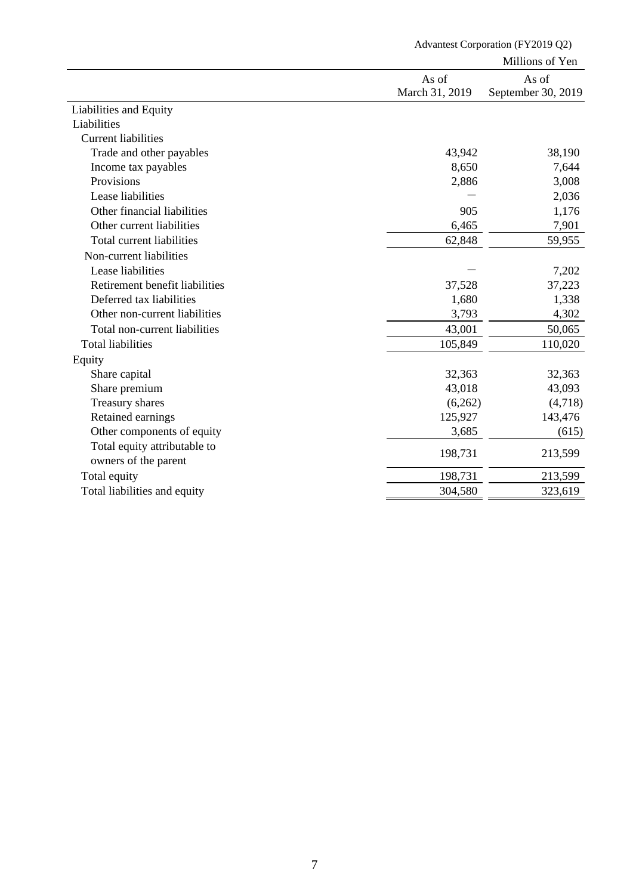|                                |                | Millions of Yen    |
|--------------------------------|----------------|--------------------|
|                                | As of          | As of              |
|                                | March 31, 2019 | September 30, 2019 |
| Liabilities and Equity         |                |                    |
| Liabilities                    |                |                    |
| <b>Current liabilities</b>     |                |                    |
| Trade and other payables       | 43,942         | 38,190             |
| Income tax payables            | 8,650          | 7,644              |
| Provisions                     | 2,886          | 3,008              |
| Lease liabilities              |                | 2,036              |
| Other financial liabilities    | 905            | 1,176              |
| Other current liabilities      | 6,465          | 7,901              |
| Total current liabilities      | 62,848         | 59,955             |
| Non-current liabilities        |                |                    |
| Lease liabilities              |                | 7,202              |
| Retirement benefit liabilities | 37,528         | 37,223             |
| Deferred tax liabilities       | 1,680          | 1,338              |
| Other non-current liabilities  | 3,793          | 4,302              |
| Total non-current liabilities  | 43,001         | 50,065             |
| <b>Total liabilities</b>       | 105,849        | 110,020            |
| Equity                         |                |                    |
| Share capital                  | 32,363         | 32,363             |
| Share premium                  | 43,018         | 43,093             |
| Treasury shares                | (6,262)        | (4,718)            |
| Retained earnings              | 125,927        | 143,476            |
| Other components of equity     | 3,685          | (615)              |
| Total equity attributable to   |                |                    |
| owners of the parent           | 198,731        | 213,599            |
| Total equity                   | 198,731        | 213,599            |
| Total liabilities and equity   | 304,580        | 323,619            |
|                                |                |                    |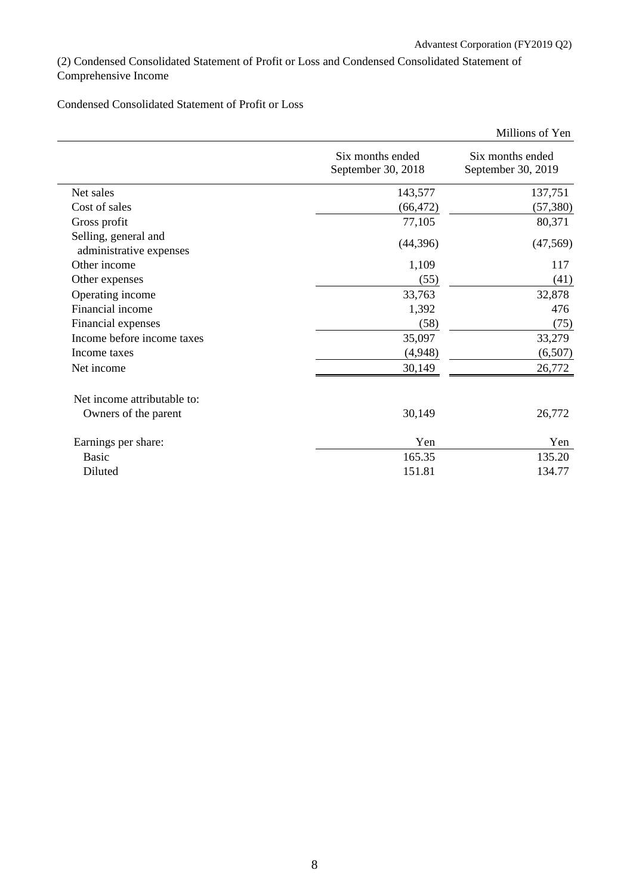(2) Condensed Consolidated Statement of Profit or Loss and Condensed Consolidated Statement of Comprehensive Income

# Condensed Consolidated Statement of Profit or Loss

|                                                 |                                        | Millions of Yen                        |
|-------------------------------------------------|----------------------------------------|----------------------------------------|
|                                                 | Six months ended<br>September 30, 2018 | Six months ended<br>September 30, 2019 |
| Net sales                                       | 143,577                                | 137,751                                |
| Cost of sales                                   | (66, 472)                              | (57, 380)                              |
| Gross profit                                    | 77,105                                 | 80,371                                 |
| Selling, general and<br>administrative expenses | (44, 396)                              | (47, 569)                              |
| Other income                                    | 1,109                                  | 117                                    |
| Other expenses                                  | (55)                                   | (41)                                   |
| Operating income                                | 33,763                                 | 32,878                                 |
| Financial income                                | 1,392                                  | 476                                    |
| Financial expenses                              | (58)                                   | (75)                                   |
| Income before income taxes                      | 35,097                                 | 33,279                                 |
| Income taxes                                    | (4,948)                                | (6,507)                                |
| Net income                                      | 30,149                                 | 26,772                                 |
| Net income attributable to:                     |                                        |                                        |
| Owners of the parent                            | 30,149                                 | 26,772                                 |
| Earnings per share:                             | Yen                                    | Yen                                    |
| <b>Basic</b>                                    | 165.35                                 | 135.20                                 |
| Diluted                                         | 151.81                                 | 134.77                                 |
|                                                 |                                        |                                        |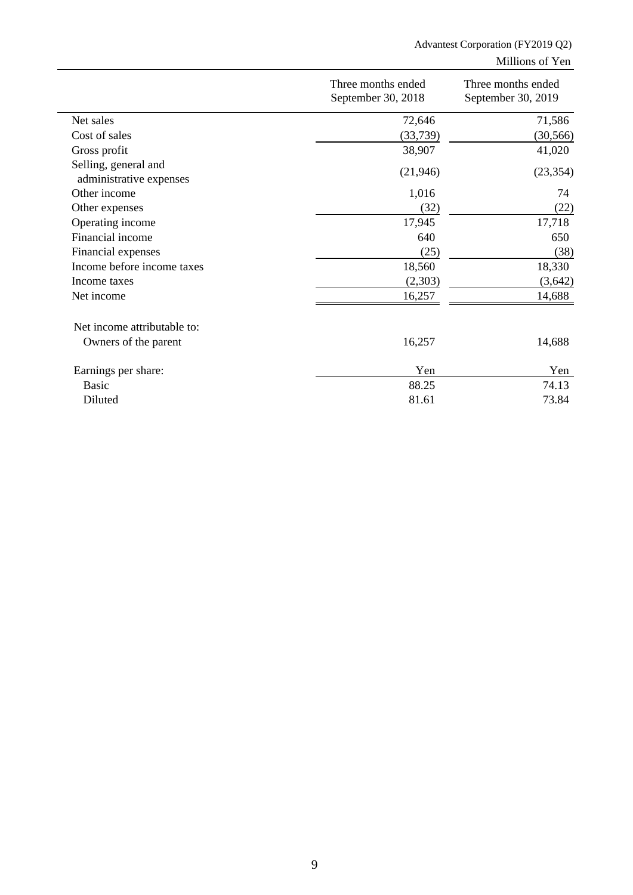# Advantest Corporation (FY2019 Q2)

Millions of Yen

|                                                 | Three months ended<br>September 30, 2018 | Three months ended<br>September 30, 2019 |  |
|-------------------------------------------------|------------------------------------------|------------------------------------------|--|
| Net sales                                       | 72,646                                   | 71,586                                   |  |
| Cost of sales                                   | (33,739)                                 | (30, 566)                                |  |
| Gross profit                                    | 38,907                                   | 41,020                                   |  |
| Selling, general and<br>administrative expenses | (21, 946)                                | (23, 354)                                |  |
| Other income                                    | 1,016                                    | 74                                       |  |
| Other expenses                                  | (32)                                     | (22)                                     |  |
| Operating income                                | 17,945                                   | 17,718                                   |  |
| Financial income                                | 640                                      | 650                                      |  |
| Financial expenses                              | (25)                                     | (38)                                     |  |
| Income before income taxes                      | 18,560                                   | 18,330                                   |  |
| Income taxes                                    | (2,303)                                  | (3,642)                                  |  |
| Net income                                      | 16,257                                   | 14,688                                   |  |
| Net income attributable to:                     |                                          |                                          |  |
| Owners of the parent                            | 16,257                                   | 14,688                                   |  |
| Earnings per share:                             | Yen                                      | Yen                                      |  |
| <b>Basic</b>                                    | 88.25                                    | 74.13                                    |  |
| Diluted                                         | 81.61                                    | 73.84                                    |  |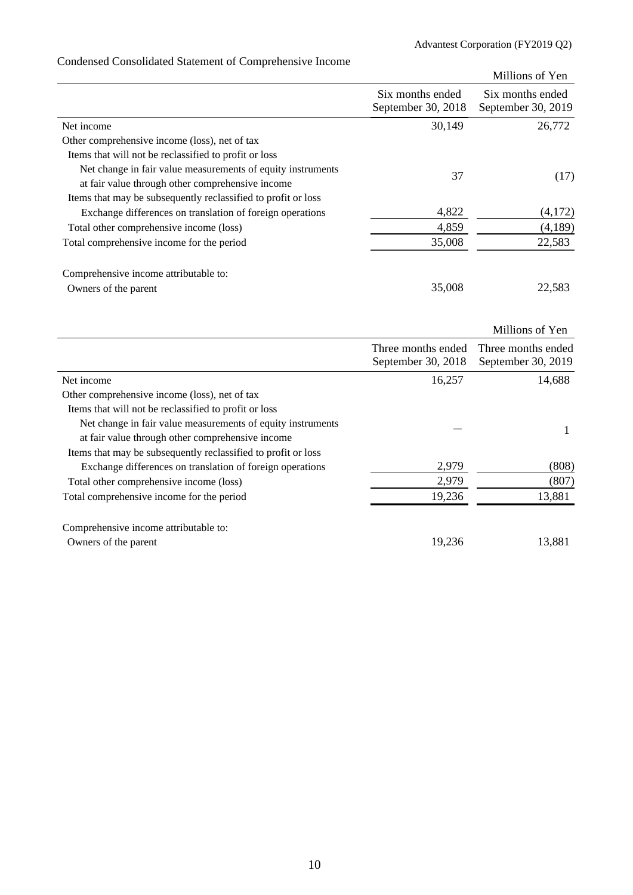|                                                                                                                 |                                        | Millions of Yen                        |
|-----------------------------------------------------------------------------------------------------------------|----------------------------------------|----------------------------------------|
|                                                                                                                 | Six months ended<br>September 30, 2018 | Six months ended<br>September 30, 2019 |
| Net income                                                                                                      | 30,149                                 | 26,772                                 |
| Other comprehensive income (loss), net of tax                                                                   |                                        |                                        |
| Items that will not be reclassified to profit or loss                                                           |                                        |                                        |
| Net change in fair value measurements of equity instruments<br>at fair value through other comprehensive income | 37                                     | (17)                                   |
| Items that may be subsequently reclassified to profit or loss                                                   |                                        |                                        |
| Exchange differences on translation of foreign operations                                                       | 4,822                                  | (4,172)                                |
| Total other comprehensive income (loss)                                                                         | 4,859                                  | (4,189)                                |
| Total comprehensive income for the period                                                                       | 35,008                                 | 22,583                                 |
| Comprehensive income attributable to:                                                                           |                                        |                                        |
| Owners of the parent                                                                                            | 35,008                                 | 22,583                                 |
|                                                                                                                 |                                        | Millions of Yen                        |
|                                                                                                                 | Three months ended                     | Three months ended                     |

# Condensed Consolidated Statement of Comprehensive Income

|                                                               | Three months ended<br>September 30, 2018 | Three months ended<br>September 30, 2019 |
|---------------------------------------------------------------|------------------------------------------|------------------------------------------|
| Net income                                                    | 16,257                                   | 14,688                                   |
| Other comprehensive income (loss), net of tax                 |                                          |                                          |
| Items that will not be reclassified to profit or loss         |                                          |                                          |
| Net change in fair value measurements of equity instruments   |                                          |                                          |
| at fair value through other comprehensive income              |                                          |                                          |
| Items that may be subsequently reclassified to profit or loss |                                          |                                          |
| Exchange differences on translation of foreign operations     | 2,979                                    | (808)                                    |
| Total other comprehensive income (loss)                       | 2,979                                    | (807)                                    |
| Total comprehensive income for the period                     | 19,236                                   | 13,881                                   |
| Comprehensive income attributable to:                         |                                          |                                          |
| Owners of the parent                                          | 19.236                                   | 13.881                                   |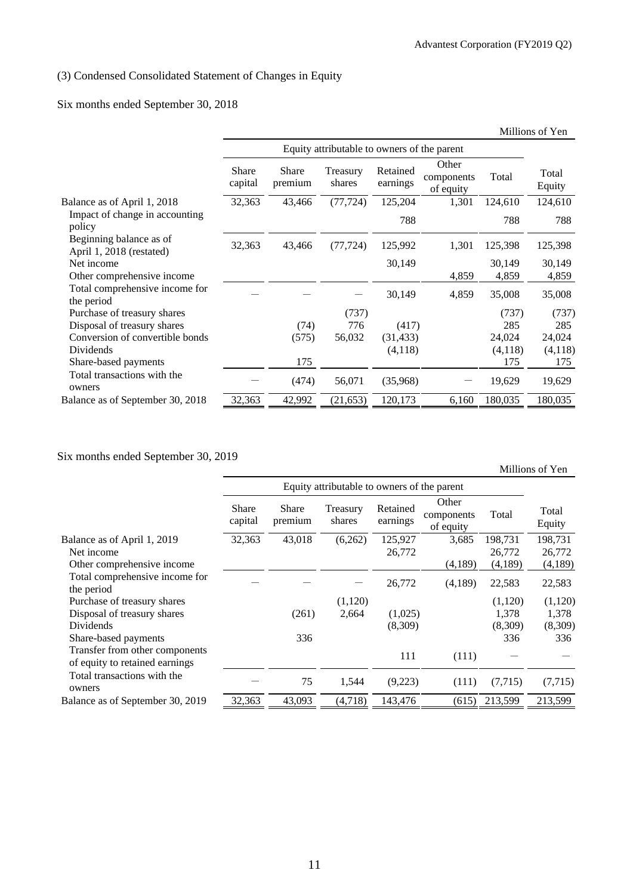# (3) Condensed Consolidated Statement of Changes in Equity

# Six months ended September 30, 2018

|                                                     |                  |                  |                                             |                      |                                  |         | Millions of Yen |
|-----------------------------------------------------|------------------|------------------|---------------------------------------------|----------------------|----------------------------------|---------|-----------------|
|                                                     |                  |                  | Equity attributable to owners of the parent |                      |                                  |         |                 |
|                                                     | Share<br>capital | Share<br>premium | Treasury<br>shares                          | Retained<br>earnings | Other<br>components<br>of equity | Total   | Total<br>Equity |
| Balance as of April 1, 2018                         | 32,363           | 43,466           | (77, 724)                                   | 125,204              | 1,301                            | 124,610 | 124,610         |
| Impact of change in accounting<br>policy            |                  |                  |                                             | 788                  |                                  | 788     | 788             |
| Beginning balance as of<br>April 1, 2018 (restated) | 32,363           | 43,466           | (77, 724)                                   | 125,992              | 1,301                            | 125,398 | 125,398         |
| Net income                                          |                  |                  |                                             | 30,149               |                                  | 30,149  | 30,149          |
| Other comprehensive income                          |                  |                  |                                             |                      | 4,859                            | 4,859   | 4,859           |
| Total comprehensive income for<br>the period        |                  |                  |                                             | 30,149               | 4,859                            | 35,008  | 35,008          |
| Purchase of treasury shares                         |                  |                  | (737)                                       |                      |                                  | (737)   | (737)           |
| Disposal of treasury shares                         |                  | (74)             | 776                                         | (417)                |                                  | 285     | 285             |
| Conversion of convertible bonds                     |                  | (575)            | 56,032                                      | (31, 433)            |                                  | 24,024  | 24,024          |
| Dividends                                           |                  |                  |                                             | (4,118)              |                                  | (4,118) | (4,118)         |
| Share-based payments                                |                  | 175              |                                             |                      |                                  | 175     | 175             |
| Total transactions with the<br>owners               |                  | (474)            | 56,071                                      | (35,968)             |                                  | 19,629  | 19,629          |
| Balance as of September 30, 2018                    | 32,363           | 42,992           | (21, 653)                                   | 120,173              | 6,160                            | 180,035 | 180,035         |

Six months ended September 30, 2019

Millions of Yen

|                                                                  |                         | Equity attributable to owners of the parent |                    |                      |                                  |          |                 |
|------------------------------------------------------------------|-------------------------|---------------------------------------------|--------------------|----------------------|----------------------------------|----------|-----------------|
|                                                                  | <b>Share</b><br>capital | Share<br>premium                            | Treasury<br>shares | Retained<br>earnings | Other<br>components<br>of equity | Total    | Total<br>Equity |
| Balance as of April 1, 2019                                      | 32,363                  | 43,018                                      | (6,262)            | 125,927              | 3,685                            | 198,731  | 198,731         |
| Net income                                                       |                         |                                             |                    | 26,772               |                                  | 26,772   | 26,772          |
| Other comprehensive income                                       |                         |                                             |                    |                      | (4,189)                          | (4,189)  | (4,189)         |
| Total comprehensive income for<br>the period                     |                         |                                             |                    | 26,772               | (4,189)                          | 22,583   | 22,583          |
| Purchase of treasury shares                                      |                         |                                             | (1,120)            |                      |                                  | (1,120)  | (1,120)         |
| Disposal of treasury shares                                      |                         | (261)                                       | 2,664              | (1,025)              |                                  | 1,378    | 1,378           |
| Dividends                                                        |                         |                                             |                    | (8,309)              |                                  | (8,309)  | (8,309)         |
| Share-based payments                                             |                         | 336                                         |                    |                      |                                  | 336      | 336             |
| Transfer from other components<br>of equity to retained earnings |                         |                                             |                    | 111                  | (111)                            |          |                 |
| Total transactions with the<br>owners                            |                         | 75                                          | 1,544              | (9,223)              | (111)                            | (7, 715) | (7,715)         |
| Balance as of September 30, 2019                                 | 32,363                  | 43,093                                      | (4,718)            | 143,476              | (615)                            | 213,599  | 213,599         |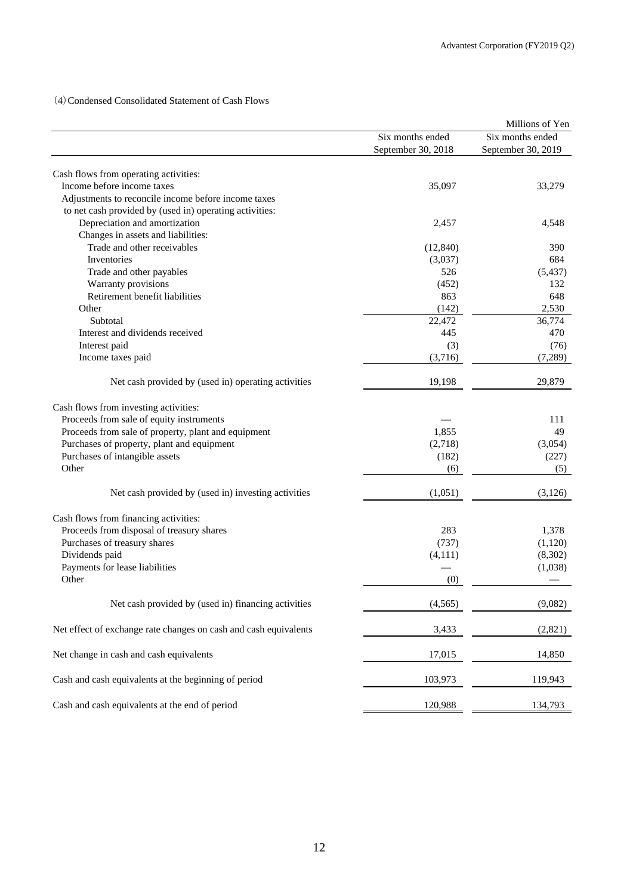(4)Condensed Consolidated Statement of Cash Flows

|                                                                  |                    | Millions of Yen    |
|------------------------------------------------------------------|--------------------|--------------------|
|                                                                  | Six months ended   | Six months ended   |
|                                                                  | September 30, 2018 | September 30, 2019 |
|                                                                  |                    |                    |
| Cash flows from operating activities:                            |                    |                    |
| Income before income taxes                                       | 35,097             | 33,279             |
| Adjustments to reconcile income before income taxes              |                    |                    |
| to net cash provided by (used in) operating activities:          |                    |                    |
| Depreciation and amortization                                    | 2,457              | 4,548              |
| Changes in assets and liabilities:                               |                    |                    |
| Trade and other receivables                                      | (12, 840)          | 390                |
| Inventories                                                      | (3,037)            | 684                |
| Trade and other payables                                         | 526                | (5, 437)           |
| Warranty provisions                                              | (452)              | 132                |
| Retirement benefit liabilities                                   | 863                | 648                |
| Other                                                            | (142)              | 2,530              |
| Subtotal                                                         | 22,472             | 36,774             |
| Interest and dividends received                                  | 445                | 470                |
|                                                                  |                    |                    |
| Interest paid                                                    | (3)                | (76)               |
| Income taxes paid                                                | (3,716)            | (7,289)            |
| Net cash provided by (used in) operating activities              | 19,198             | 29,879             |
| Cash flows from investing activities:                            |                    |                    |
|                                                                  |                    |                    |
| Proceeds from sale of equity instruments                         |                    | 111                |
| Proceeds from sale of property, plant and equipment              | 1,855              | 49                 |
| Purchases of property, plant and equipment                       | (2,718)            | (3,054)            |
| Purchases of intangible assets                                   | (182)              | (227)              |
| Other                                                            | (6)                | (5)                |
| Net cash provided by (used in) investing activities              | (1,051)            | (3,126)            |
|                                                                  |                    |                    |
| Cash flows from financing activities:                            |                    |                    |
| Proceeds from disposal of treasury shares                        | 283                | 1,378              |
| Purchases of treasury shares                                     | (737)              | (1,120)            |
| Dividends paid                                                   | (4, 111)           | (8,302)            |
| Payments for lease liabilities                                   |                    | (1,038)            |
| Other                                                            | (0)                |                    |
| Net cash provided by (used in) financing activities              | (4, 565)           | (9,082)            |
| Net effect of exchange rate changes on cash and cash equivalents |                    |                    |
|                                                                  | 3,433              | (2,821)            |
| Net change in cash and cash equivalents                          | 17,015             | 14,850             |
| Cash and cash equivalents at the beginning of period             | 103,973            | 119,943            |
| Cash and cash equivalents at the end of period                   | 120,988            | 134,793            |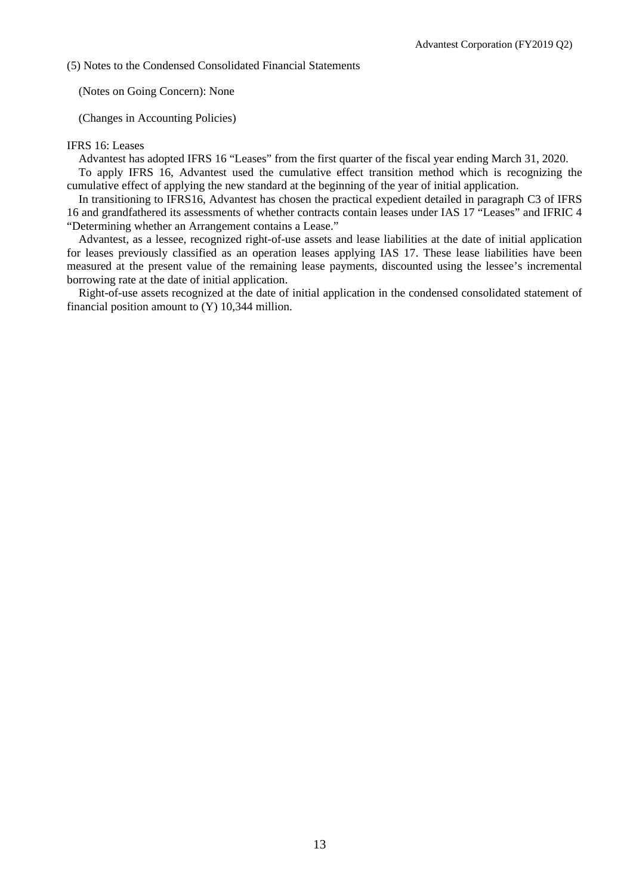(5) Notes to the Condensed Consolidated Financial Statements

(Notes on Going Concern): None

(Changes in Accounting Policies)

### IFRS 16: Leases

Advantest has adopted IFRS 16 "Leases" from the first quarter of the fiscal year ending March 31, 2020.

To apply IFRS 16, Advantest used the cumulative effect transition method which is recognizing the cumulative effect of applying the new standard at the beginning of the year of initial application.

In transitioning to IFRS16, Advantest has chosen the practical expedient detailed in paragraph C3 of IFRS 16 and grandfathered its assessments of whether contracts contain leases under IAS 17 "Leases" and IFRIC 4 "Determining whether an Arrangement contains a Lease."

Advantest, as a lessee, recognized right-of-use assets and lease liabilities at the date of initial application for leases previously classified as an operation leases applying IAS 17. These lease liabilities have been measured at the present value of the remaining lease payments, discounted using the lessee's incremental borrowing rate at the date of initial application.

Right-of-use assets recognized at the date of initial application in the condensed consolidated statement of financial position amount to (Y) 10,344 million.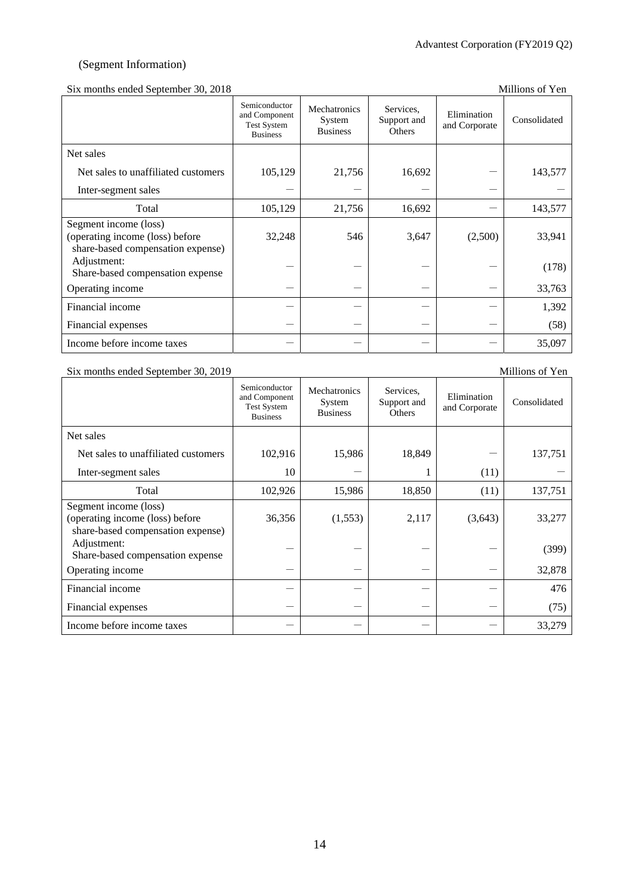### (Segment Information)

### Six months ended September 30, 2018 Millions of Yen

|                                                                                               | Semiconductor<br>and Component<br><b>Test System</b><br><b>Business</b> | Mechatronics<br>System<br><b>Business</b> | Services.<br>Support and<br>Others | Elimination<br>and Corporate | Consolidated |
|-----------------------------------------------------------------------------------------------|-------------------------------------------------------------------------|-------------------------------------------|------------------------------------|------------------------------|--------------|
| Net sales                                                                                     |                                                                         |                                           |                                    |                              |              |
| Net sales to unaffiliated customers                                                           | 105,129                                                                 | 21,756                                    | 16,692                             |                              | 143,577      |
| Inter-segment sales                                                                           |                                                                         |                                           |                                    |                              |              |
| Total                                                                                         | 105,129                                                                 | 21,756                                    | 16,692                             |                              | 143,577      |
| Segment income (loss)<br>(operating income (loss) before<br>share-based compensation expense) | 32,248                                                                  | 546                                       | 3,647                              | (2,500)                      | 33,941       |
| Adjustment:<br>Share-based compensation expense                                               |                                                                         |                                           |                                    |                              | (178)        |
| Operating income                                                                              |                                                                         |                                           |                                    |                              | 33,763       |
| Financial income                                                                              |                                                                         |                                           |                                    |                              | 1,392        |
| Financial expenses                                                                            |                                                                         |                                           |                                    |                              | (58)         |
| Income before income taxes                                                                    |                                                                         |                                           |                                    |                              | 35,097       |

### Six months ended September 30, 2019 Millions of Yen

| $\frac{1}{2}$ monthly ended beptended 50, 2019                                                |                                                                         |                                           |                                    |                              |              |
|-----------------------------------------------------------------------------------------------|-------------------------------------------------------------------------|-------------------------------------------|------------------------------------|------------------------------|--------------|
|                                                                                               | Semiconductor<br>and Component<br><b>Test System</b><br><b>Business</b> | Mechatronics<br>System<br><b>Business</b> | Services,<br>Support and<br>Others | Elimination<br>and Corporate | Consolidated |
| Net sales                                                                                     |                                                                         |                                           |                                    |                              |              |
| Net sales to unaffiliated customers                                                           | 102,916                                                                 | 15,986                                    | 18,849                             |                              | 137,751      |
| Inter-segment sales                                                                           | 10                                                                      |                                           |                                    | (11)                         |              |
| Total                                                                                         | 102,926                                                                 | 15,986                                    | 18,850                             | (11)                         | 137,751      |
| Segment income (loss)<br>(operating income (loss) before<br>share-based compensation expense) | 36,356                                                                  | (1,553)                                   | 2,117                              | (3,643)                      | 33,277       |
| Adjustment:<br>Share-based compensation expense                                               |                                                                         |                                           |                                    |                              | (399)        |
| Operating income                                                                              |                                                                         |                                           |                                    |                              | 32,878       |
| Financial income                                                                              |                                                                         |                                           |                                    |                              | 476          |
| Financial expenses                                                                            |                                                                         |                                           |                                    |                              | (75)         |
| Income before income taxes                                                                    |                                                                         |                                           |                                    |                              | 33,279       |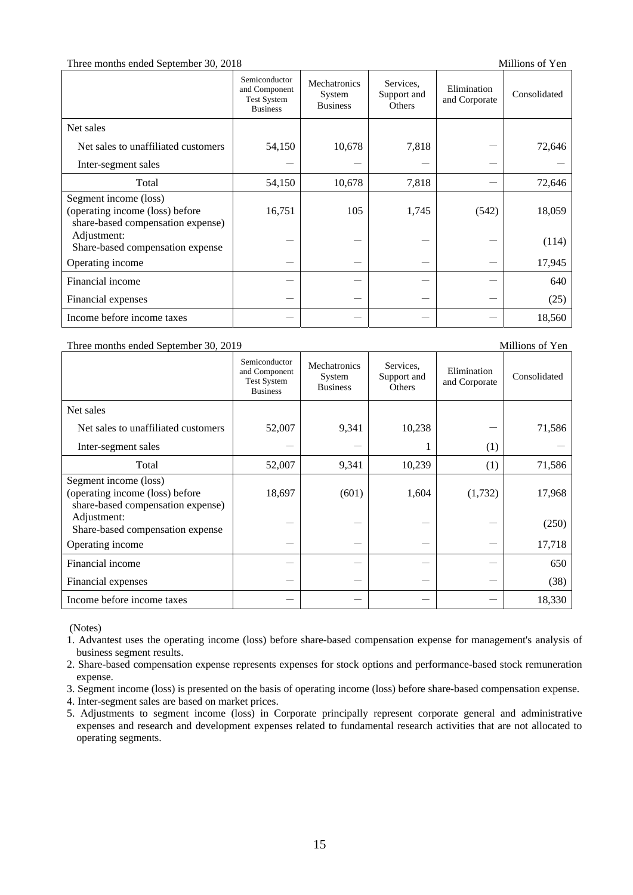### Three months ended September 30, 2018 Millions of Yen

|                                                                                               | Semiconductor<br>and Component<br>Test System<br><b>Business</b> | Mechatronics<br>System<br><b>Business</b> | Services.<br>Support and<br>Others | Elimination<br>and Corporate | Consolidated |
|-----------------------------------------------------------------------------------------------|------------------------------------------------------------------|-------------------------------------------|------------------------------------|------------------------------|--------------|
| Net sales                                                                                     |                                                                  |                                           |                                    |                              |              |
| Net sales to unaffiliated customers                                                           | 54,150                                                           | 10,678                                    | 7,818                              |                              | 72,646       |
| Inter-segment sales                                                                           |                                                                  |                                           |                                    |                              |              |
| Total                                                                                         | 54,150                                                           | 10,678                                    | 7,818                              |                              | 72,646       |
| Segment income (loss)<br>(operating income (loss) before<br>share-based compensation expense) | 16,751                                                           | 105                                       | 1,745                              | (542)                        | 18,059       |
| Adjustment:<br>Share-based compensation expense                                               |                                                                  |                                           |                                    |                              | (114)        |
| Operating income                                                                              |                                                                  |                                           |                                    |                              | 17,945       |
| Financial income                                                                              |                                                                  |                                           |                                    |                              | 640          |
| Financial expenses                                                                            |                                                                  |                                           |                                    |                              | (25)         |
| Income before income taxes                                                                    |                                                                  |                                           |                                    |                              | 18,560       |

Three months ended September 30, 2019 Millions of Yen

|                                                                                               | Semiconductor<br>and Component<br><b>Test System</b><br><b>Business</b> | Mechatronics<br>System<br><b>Business</b> | Services.<br>Support and<br>Others | Elimination<br>and Corporate | Consolidated |
|-----------------------------------------------------------------------------------------------|-------------------------------------------------------------------------|-------------------------------------------|------------------------------------|------------------------------|--------------|
| Net sales                                                                                     |                                                                         |                                           |                                    |                              |              |
| Net sales to unaffiliated customers                                                           | 52,007                                                                  | 9,341                                     | 10,238                             |                              | 71,586       |
| Inter-segment sales                                                                           |                                                                         |                                           |                                    | (1)                          |              |
| Total                                                                                         | 52,007                                                                  | 9,341                                     | 10,239                             | (1)                          | 71,586       |
| Segment income (loss)<br>(operating income (loss) before<br>share-based compensation expense) | 18,697                                                                  | (601)                                     | 1,604                              | (1,732)                      | 17,968       |
| Adjustment:<br>Share-based compensation expense                                               |                                                                         |                                           |                                    |                              | (250)        |
| Operating income                                                                              |                                                                         |                                           |                                    |                              | 17,718       |
| Financial income                                                                              |                                                                         |                                           |                                    |                              | 650          |
| Financial expenses                                                                            |                                                                         |                                           |                                    |                              | (38)         |
| Income before income taxes                                                                    |                                                                         |                                           |                                    |                              | 18,330       |

(Notes)

- 1. Advantest uses the operating income (loss) before share-based compensation expense for management's analysis of business segment results.
- 2. Share-based compensation expense represents expenses for stock options and performance-based stock remuneration expense.
- 3. Segment income (loss) is presented on the basis of operating income (loss) before share-based compensation expense.
- 4. Inter-segment sales are based on market prices.
- 5. Adjustments to segment income (loss) in Corporate principally represent corporate general and administrative expenses and research and development expenses related to fundamental research activities that are not allocated to operating segments.